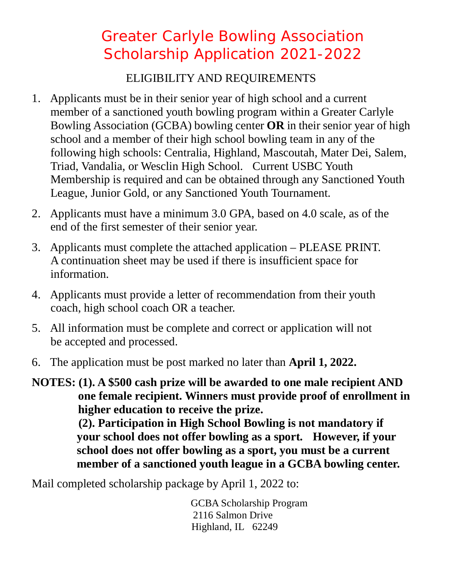## Greater Carlyle Bowling Association Scholarship Application 2021-2022

## ELIGIBILITY AND REQUIREMENTS

- 1. Applicants must be in their senior year of high school and a current member of a sanctioned youth bowling program within a Greater Carlyle Bowling Association (GCBA) bowling center **OR** in their senior year of high school and a member of their high school bowling team in any of the following high schools: Centralia, Highland, Mascoutah, Mater Dei, Salem, Triad, Vandalia, or Wesclin High School. Current USBC Youth Membership is required and can be obtained through any Sanctioned Youth League, Junior Gold, or any Sanctioned Youth Tournament.
- 2. Applicants must have a minimum 3.0 GPA, based on 4.0 scale, as of the end of the first semester of their senior year.
- 3. Applicants must complete the attached application PLEASE PRINT. A continuation sheet may be used if there is insufficient space for information.
- 4. Applicants must provide a letter of recommendation from their youth coach, high school coach OR a teacher.
- 5. All information must be complete and correct or application will not be accepted and processed.
- 6. The application must be post marked no later than **April 1, 2022.**

**NOTES: (1). A \$500 cash prize will be awarded to one male recipient AND one female recipient. Winners must provide proof of enrollment in higher education to receive the prize. (2). Participation in High School Bowling is not mandatory if your school does not offer bowling as a sport. However, if your school does not offer bowling as a sport, you must be a current member of a sanctioned youth league in a GCBA bowling center.**

Mail completed scholarship package by April 1, 2022 to:

 GCBA Scholarship Program 2116 Salmon Drive Highland, IL 62249